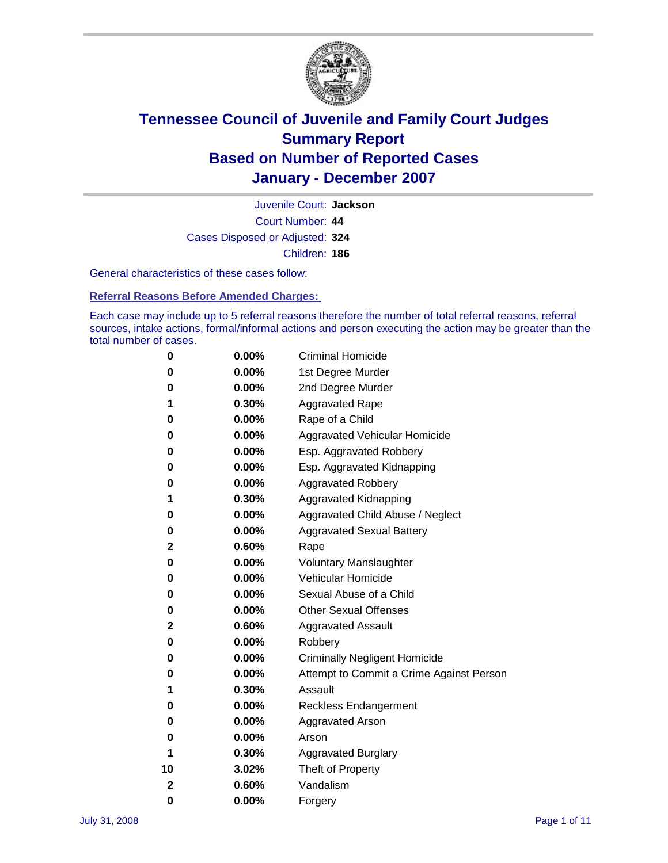

Court Number: **44** Juvenile Court: **Jackson** Cases Disposed or Adjusted: **324** Children: **186**

General characteristics of these cases follow:

**Referral Reasons Before Amended Charges:** 

Each case may include up to 5 referral reasons therefore the number of total referral reasons, referral sources, intake actions, formal/informal actions and person executing the action may be greater than the total number of cases.

| 0  | $0.00\%$ | <b>Criminal Homicide</b>                 |
|----|----------|------------------------------------------|
| 0  | 0.00%    | 1st Degree Murder                        |
| 0  | $0.00\%$ | 2nd Degree Murder                        |
| 1  | 0.30%    | <b>Aggravated Rape</b>                   |
| 0  | 0.00%    | Rape of a Child                          |
| 0  | 0.00%    | Aggravated Vehicular Homicide            |
| 0  | 0.00%    | Esp. Aggravated Robbery                  |
| 0  | $0.00\%$ | Esp. Aggravated Kidnapping               |
| 0  | 0.00%    | <b>Aggravated Robbery</b>                |
| 1  | 0.30%    | Aggravated Kidnapping                    |
| 0  | $0.00\%$ | Aggravated Child Abuse / Neglect         |
| 0  | 0.00%    | <b>Aggravated Sexual Battery</b>         |
| 2  | 0.60%    | Rape                                     |
| 0  | 0.00%    | <b>Voluntary Manslaughter</b>            |
| 0  | 0.00%    | Vehicular Homicide                       |
| 0  | 0.00%    | Sexual Abuse of a Child                  |
| 0  | 0.00%    | <b>Other Sexual Offenses</b>             |
| 2  | 0.60%    | <b>Aggravated Assault</b>                |
| 0  | 0.00%    | Robbery                                  |
| 0  | 0.00%    | <b>Criminally Negligent Homicide</b>     |
| 0  | 0.00%    | Attempt to Commit a Crime Against Person |
| 1  | 0.30%    | Assault                                  |
| 0  | 0.00%    | <b>Reckless Endangerment</b>             |
| 0  | 0.00%    | <b>Aggravated Arson</b>                  |
| 0  | 0.00%    | Arson                                    |
| 1  | 0.30%    | <b>Aggravated Burglary</b>               |
| 10 | 3.02%    | Theft of Property                        |
| 2  | 0.60%    | Vandalism                                |
| 0  | 0.00%    | Forgery                                  |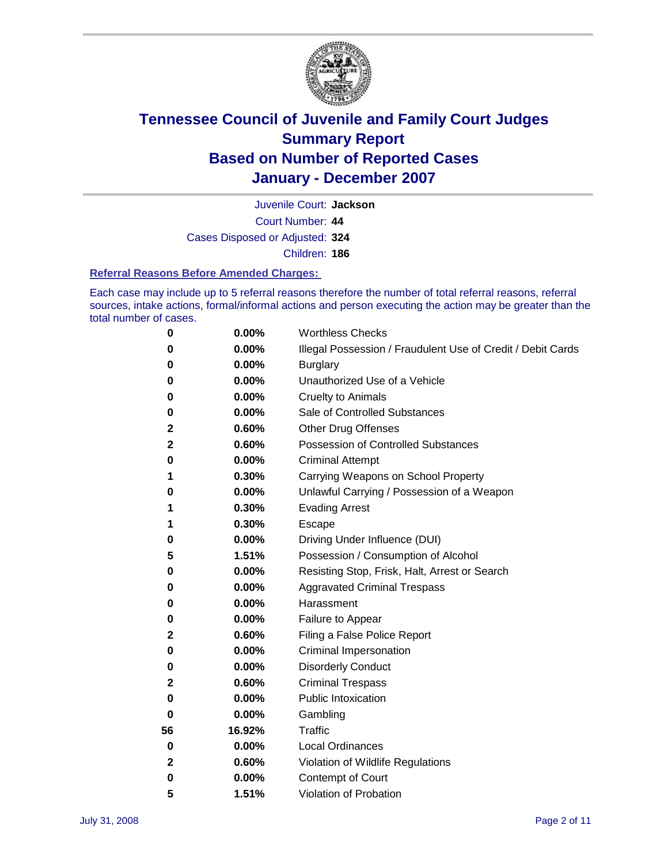

Court Number: **44** Juvenile Court: **Jackson** Cases Disposed or Adjusted: **324**

Children: **186**

#### **Referral Reasons Before Amended Charges:**

Each case may include up to 5 referral reasons therefore the number of total referral reasons, referral sources, intake actions, formal/informal actions and person executing the action may be greater than the total number of cases.

| 0            | 0.00%  | <b>Worthless Checks</b>                                     |
|--------------|--------|-------------------------------------------------------------|
| 0            | 0.00%  | Illegal Possession / Fraudulent Use of Credit / Debit Cards |
| 0            | 0.00%  | <b>Burglary</b>                                             |
| 0            | 0.00%  | Unauthorized Use of a Vehicle                               |
| 0            | 0.00%  | <b>Cruelty to Animals</b>                                   |
| 0            | 0.00%  | Sale of Controlled Substances                               |
| $\mathbf{2}$ | 0.60%  | <b>Other Drug Offenses</b>                                  |
| 2            | 0.60%  | Possession of Controlled Substances                         |
| 0            | 0.00%  | <b>Criminal Attempt</b>                                     |
| 1            | 0.30%  | Carrying Weapons on School Property                         |
| 0            | 0.00%  | Unlawful Carrying / Possession of a Weapon                  |
| 1            | 0.30%  | <b>Evading Arrest</b>                                       |
| 1            | 0.30%  | Escape                                                      |
| 0            | 0.00%  | Driving Under Influence (DUI)                               |
| 5            | 1.51%  | Possession / Consumption of Alcohol                         |
| 0            | 0.00%  | Resisting Stop, Frisk, Halt, Arrest or Search               |
| 0            | 0.00%  | <b>Aggravated Criminal Trespass</b>                         |
| 0            | 0.00%  | Harassment                                                  |
| 0            | 0.00%  | Failure to Appear                                           |
| 2            | 0.60%  | Filing a False Police Report                                |
| 0            | 0.00%  | Criminal Impersonation                                      |
| 0            | 0.00%  | <b>Disorderly Conduct</b>                                   |
| 2            | 0.60%  | <b>Criminal Trespass</b>                                    |
| 0            | 0.00%  | <b>Public Intoxication</b>                                  |
| 0            | 0.00%  | Gambling                                                    |
| 56           | 16.92% | Traffic                                                     |
| 0            | 0.00%  | <b>Local Ordinances</b>                                     |
| $\mathbf{2}$ | 0.60%  | Violation of Wildlife Regulations                           |
| 0            | 0.00%  | Contempt of Court                                           |
| 5            | 1.51%  | Violation of Probation                                      |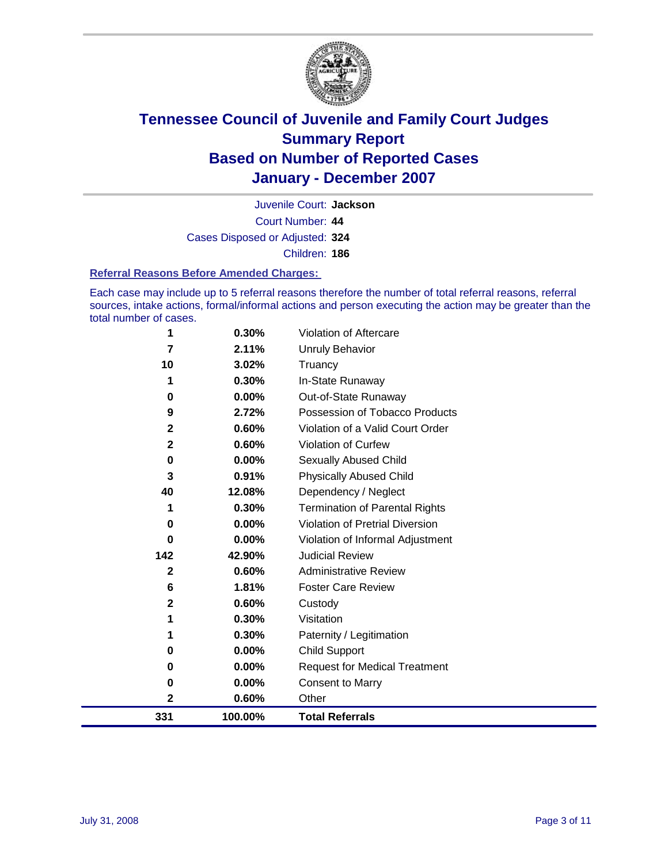

Court Number: **44** Juvenile Court: **Jackson** Cases Disposed or Adjusted: **324** Children: **186**

#### **Referral Reasons Before Amended Charges:**

Each case may include up to 5 referral reasons therefore the number of total referral reasons, referral sources, intake actions, formal/informal actions and person executing the action may be greater than the total number of cases.

| 1            | 0.30%   | Violation of Aftercare                |
|--------------|---------|---------------------------------------|
| 7            | 2.11%   | <b>Unruly Behavior</b>                |
| 10           | 3.02%   | Truancy                               |
|              | 0.30%   | In-State Runaway                      |
| 0            | 0.00%   | Out-of-State Runaway                  |
| 9            | 2.72%   | Possession of Tobacco Products        |
| $\mathbf{2}$ | 0.60%   | Violation of a Valid Court Order      |
| $\mathbf{2}$ | 0.60%   | <b>Violation of Curfew</b>            |
| 0            | 0.00%   | <b>Sexually Abused Child</b>          |
| 3            | 0.91%   | <b>Physically Abused Child</b>        |
| 40           | 12.08%  | Dependency / Neglect                  |
| 1            | 0.30%   | <b>Termination of Parental Rights</b> |
| 0            | 0.00%   | Violation of Pretrial Diversion       |
| 0            | 0.00%   | Violation of Informal Adjustment      |
| 142          | 42.90%  | <b>Judicial Review</b>                |
| $\mathbf 2$  | 0.60%   | <b>Administrative Review</b>          |
| 6            | 1.81%   | <b>Foster Care Review</b>             |
| $\mathbf{2}$ | 0.60%   | Custody                               |
| 1            | 0.30%   | Visitation                            |
| 1            | 0.30%   | Paternity / Legitimation              |
| 0            | 0.00%   | Child Support                         |
| 0            | 0.00%   | <b>Request for Medical Treatment</b>  |
| 0            | 0.00%   | <b>Consent to Marry</b>               |
| 2            | 0.60%   | Other                                 |
| 331          | 100.00% | <b>Total Referrals</b>                |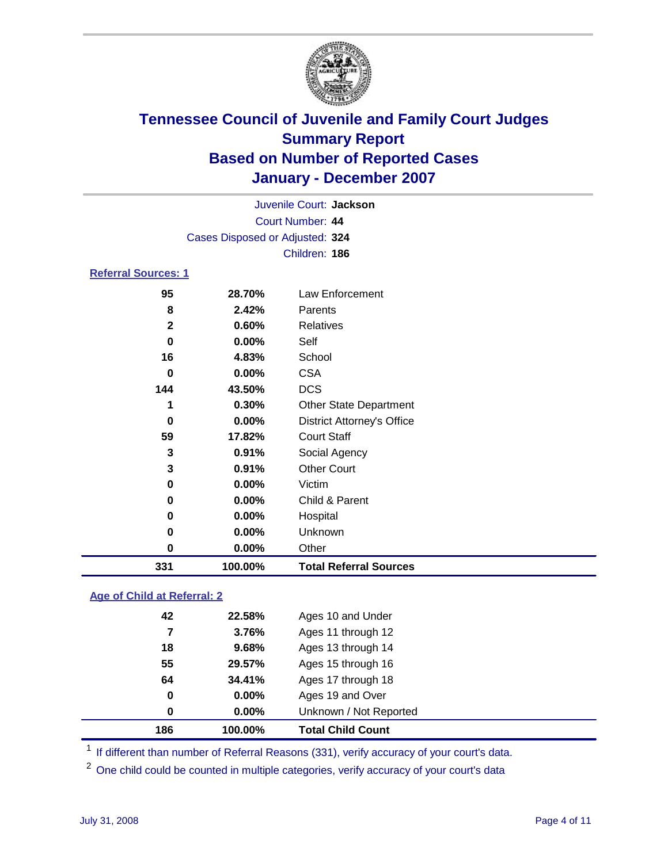

|                                 |          | Juvenile Court: Jackson |  |  |  |  |
|---------------------------------|----------|-------------------------|--|--|--|--|
| Court Number: 44                |          |                         |  |  |  |  |
| Cases Disposed or Adjusted: 324 |          |                         |  |  |  |  |
|                                 |          | Children: 186           |  |  |  |  |
| <b>Referral Sources: 1</b>      |          |                         |  |  |  |  |
| 95                              | 28.70%   | Law Enforcement         |  |  |  |  |
| 8                               | 2.42%    | Parents                 |  |  |  |  |
| 2                               | 0.60%    | Relatives               |  |  |  |  |
| 0                               | $0.00\%$ | Self                    |  |  |  |  |
| 16                              | 4.83%    | School                  |  |  |  |  |
| 0                               | $0.00\%$ | <b>CSA</b>              |  |  |  |  |
| 144                             | 43.50%   | <b>DCS</b>              |  |  |  |  |
|                                 | በ 30%    | Other State Denartment  |  |  |  |  |

| 331         | 100.00%  | <b>Total Referral Sources</b>     |
|-------------|----------|-----------------------------------|
| 0           | 0.00%    | Other                             |
| 0           | 0.00%    | Unknown                           |
| 0           | 0.00%    | Hospital                          |
| 0           | $0.00\%$ | Child & Parent                    |
| 0           | 0.00%    | Victim                            |
| 3           | 0.91%    | <b>Other Court</b>                |
| 3           | 0.91%    | Social Agency                     |
| 59          | 17.82%   | <b>Court Staff</b>                |
| 0           | 0.00%    | <b>District Attorney's Office</b> |
| 1           | 0.30%    | <b>Other State Department</b>     |
| 144         | 43.50%   | <b>DCS</b>                        |
| 0           | 0.00%    | <b>CSA</b>                        |
| 16          | 4.83%    | School                            |
| 0           | 0.00%    | Self                              |
| $\mathbf 2$ | 0.60%    | Relatives                         |
| 8           | 2.42%    | Parents                           |
| 95          | 28.70%   | Law Enforcement                   |

#### **Age of Child at Referral: 2**

| 186 | 100.00%       | <b>Total Child Count</b> |
|-----|---------------|--------------------------|
|     | $0.00\%$<br>0 | Unknown / Not Reported   |
|     | $0.00\%$<br>0 | Ages 19 and Over         |
| 64  | 34.41%        | Ages 17 through 18       |
| 55  | 29.57%        | Ages 15 through 16       |
| 18  | 9.68%         | Ages 13 through 14       |
|     | 3.76%         | Ages 11 through 12       |
| 42  | 22.58%        | Ages 10 and Under        |
|     |               |                          |

<sup>1</sup> If different than number of Referral Reasons (331), verify accuracy of your court's data.

One child could be counted in multiple categories, verify accuracy of your court's data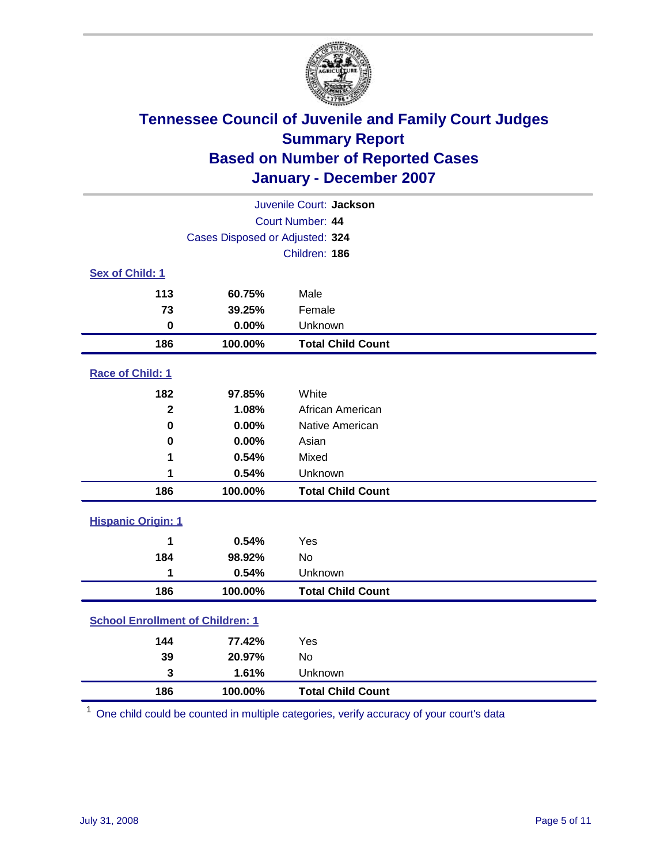

| Juvenile Court: Jackson                 |                                 |                          |  |  |  |
|-----------------------------------------|---------------------------------|--------------------------|--|--|--|
| Court Number: 44                        |                                 |                          |  |  |  |
|                                         | Cases Disposed or Adjusted: 324 |                          |  |  |  |
|                                         |                                 | Children: 186            |  |  |  |
| Sex of Child: 1                         |                                 |                          |  |  |  |
| 113                                     | 60.75%                          | Male                     |  |  |  |
| 73                                      | 39.25%                          | Female                   |  |  |  |
| $\bf{0}$                                | 0.00%                           | Unknown                  |  |  |  |
| 186                                     | 100.00%                         | <b>Total Child Count</b> |  |  |  |
| <b>Race of Child: 1</b>                 |                                 |                          |  |  |  |
| 182                                     | 97.85%                          | White                    |  |  |  |
| $\overline{2}$                          | 1.08%                           | African American         |  |  |  |
| $\bf{0}$                                | 0.00%                           | Native American          |  |  |  |
| 0                                       | 0.00%                           | Asian                    |  |  |  |
| 1                                       | 0.54%                           | Mixed                    |  |  |  |
| 1                                       | 0.54%                           | Unknown                  |  |  |  |
| 186                                     | 100.00%                         | <b>Total Child Count</b> |  |  |  |
| <b>Hispanic Origin: 1</b>               |                                 |                          |  |  |  |
| 1                                       | 0.54%                           | Yes                      |  |  |  |
| 184                                     | 98.92%                          | <b>No</b>                |  |  |  |
| 1                                       | 0.54%                           | Unknown                  |  |  |  |
| 186                                     | 100.00%                         | <b>Total Child Count</b> |  |  |  |
| <b>School Enrollment of Children: 1</b> |                                 |                          |  |  |  |
| 144                                     | 77.42%                          | Yes                      |  |  |  |
| 39                                      | 20.97%                          | No                       |  |  |  |
| 3                                       | 1.61%                           | Unknown                  |  |  |  |
| 186                                     | 100.00%                         | <b>Total Child Count</b> |  |  |  |

One child could be counted in multiple categories, verify accuracy of your court's data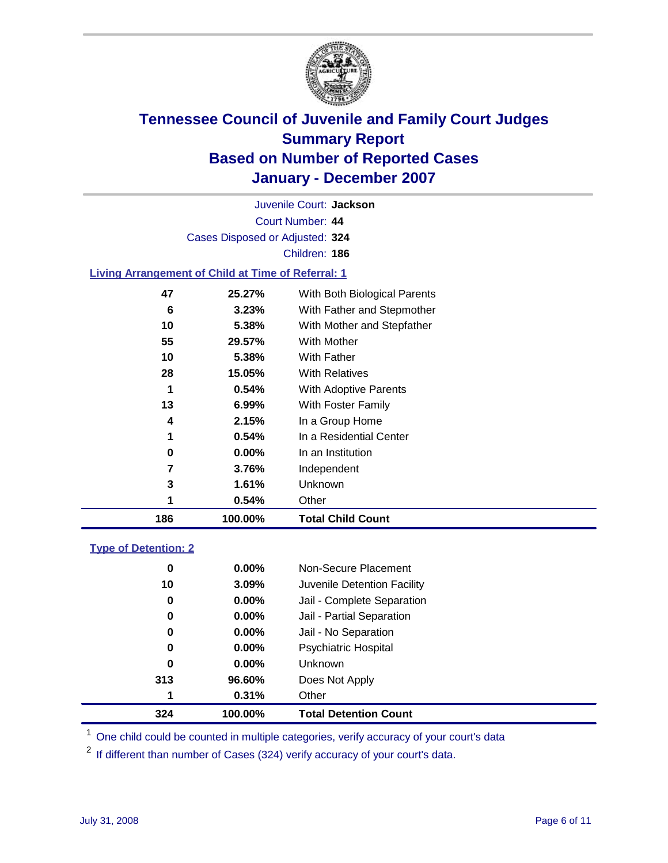

Court Number: **44** Juvenile Court: **Jackson** Cases Disposed or Adjusted: **324** Children: **186 Living Arrangement of Child at Time of Referral: 1**

| 186 | 100.00% | <b>Total Child Count</b>     |
|-----|---------|------------------------------|
| 1   | 0.54%   | Other                        |
| 3   | 1.61%   | Unknown                      |
| 7   | 3.76%   | Independent                  |
| 0   | 0.00%   | In an Institution            |
| 1   | 0.54%   | In a Residential Center      |
| 4   | 2.15%   | In a Group Home              |
| 13  | 6.99%   | With Foster Family           |
| 1   | 0.54%   | With Adoptive Parents        |
| 28  | 15.05%  | <b>With Relatives</b>        |
| 10  | 5.38%   | With Father                  |
| 55  | 29.57%  | With Mother                  |
| 10  | 5.38%   | With Mother and Stepfather   |
| 6   | 3.23%   | With Father and Stepmother   |
| 47  | 25.27%  | With Both Biological Parents |
|     |         |                              |

#### **Type of Detention: 2**

| 324 | 100.00%  | <b>Total Detention Count</b> |  |
|-----|----------|------------------------------|--|
| 1   | 0.31%    | Other                        |  |
| 313 | 96.60%   | Does Not Apply               |  |
| 0   | $0.00\%$ | <b>Unknown</b>               |  |
| 0   | 0.00%    | <b>Psychiatric Hospital</b>  |  |
| 0   | 0.00%    | Jail - No Separation         |  |
| 0   | $0.00\%$ | Jail - Partial Separation    |  |
| 0   | $0.00\%$ | Jail - Complete Separation   |  |
| 10  | 3.09%    | Juvenile Detention Facility  |  |
| 0   | $0.00\%$ | Non-Secure Placement         |  |
|     |          |                              |  |

<sup>1</sup> One child could be counted in multiple categories, verify accuracy of your court's data

<sup>2</sup> If different than number of Cases (324) verify accuracy of your court's data.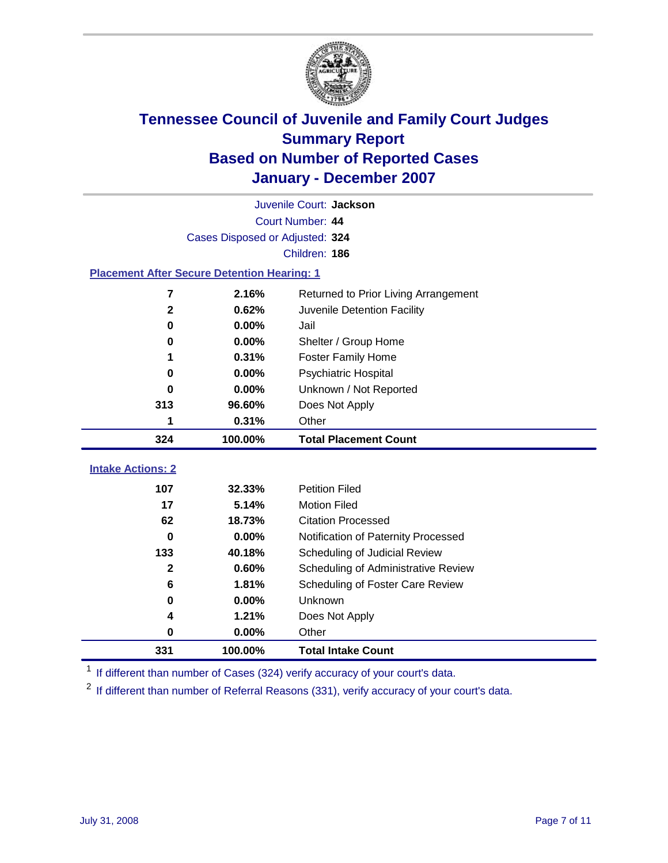

|                                                    | Juvenile Court: Jackson |                                      |  |  |  |
|----------------------------------------------------|-------------------------|--------------------------------------|--|--|--|
| Court Number: 44                                   |                         |                                      |  |  |  |
| Cases Disposed or Adjusted: 324                    |                         |                                      |  |  |  |
| Children: 186                                      |                         |                                      |  |  |  |
| <b>Placement After Secure Detention Hearing: 1</b> |                         |                                      |  |  |  |
| 7                                                  | 2.16%                   | Returned to Prior Living Arrangement |  |  |  |
| $\mathbf{2}$                                       | 0.62%                   | Juvenile Detention Facility          |  |  |  |
| $\bf{0}$                                           | 0.00%                   | Jail                                 |  |  |  |
| 0                                                  | 0.00%                   | Shelter / Group Home                 |  |  |  |
| 1                                                  | 0.31%                   | <b>Foster Family Home</b>            |  |  |  |
| $\bf{0}$                                           | 0.00%                   | Psychiatric Hospital                 |  |  |  |
| 0                                                  | 0.00%                   | Unknown / Not Reported               |  |  |  |
| 313                                                | 96.60%                  | Does Not Apply                       |  |  |  |
| 1                                                  | 0.31%                   | Other                                |  |  |  |
| 324                                                | 100.00%                 | <b>Total Placement Count</b>         |  |  |  |
| <b>Intake Actions: 2</b>                           |                         |                                      |  |  |  |
| 107                                                | 32.33%                  | <b>Petition Filed</b>                |  |  |  |
| 17                                                 | 5.14%                   | <b>Motion Filed</b>                  |  |  |  |
| 62                                                 | 18.73%                  | <b>Citation Processed</b>            |  |  |  |
| 0                                                  | $0.00\%$                | Notification of Paternity Processed  |  |  |  |
| 133                                                | 40.18%                  | Scheduling of Judicial Review        |  |  |  |
| $\mathbf{2}$                                       | 0.60%                   | Scheduling of Administrative Review  |  |  |  |
| 6                                                  | 1.81%                   | Scheduling of Foster Care Review     |  |  |  |
| $\bf{0}$                                           | 0.00%                   | Unknown                              |  |  |  |
| 4                                                  | 1.21%                   | Does Not Apply                       |  |  |  |
| $\bf{0}$                                           | 0.00%                   | Other                                |  |  |  |
|                                                    |                         |                                      |  |  |  |
| 331                                                | 100.00%                 | <b>Total Intake Count</b>            |  |  |  |

<sup>1</sup> If different than number of Cases (324) verify accuracy of your court's data.

<sup>2</sup> If different than number of Referral Reasons (331), verify accuracy of your court's data.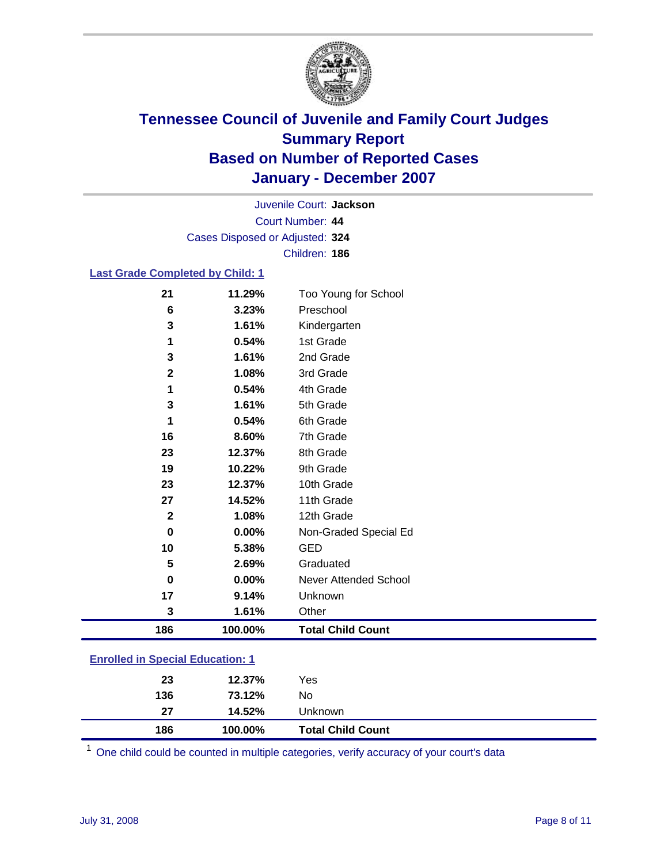

Court Number: **44** Juvenile Court: **Jackson** Cases Disposed or Adjusted: **324** Children: **186**

#### **Last Grade Completed by Child: 1**

| 186          | 100.00% | <b>Total Child Count</b>     |  |
|--------------|---------|------------------------------|--|
| 3            | 1.61%   | Other                        |  |
| 17           | 9.14%   | Unknown                      |  |
| $\bf{0}$     | 0.00%   | <b>Never Attended School</b> |  |
| 5            | 2.69%   | Graduated                    |  |
| 10           | 5.38%   | <b>GED</b>                   |  |
| 0            | 0.00%   | Non-Graded Special Ed        |  |
| $\mathbf{2}$ | 1.08%   | 12th Grade                   |  |
| 27           | 14.52%  | 11th Grade                   |  |
| 23           | 12.37%  | 10th Grade                   |  |
| 19           | 10.22%  | 9th Grade                    |  |
| 23           | 12.37%  | 8th Grade                    |  |
| 16           | 8.60%   | 7th Grade                    |  |
| 1            | 0.54%   | 6th Grade                    |  |
| 3            | 1.61%   | 5th Grade                    |  |
| 1            | 0.54%   | 4th Grade                    |  |
| $\mathbf 2$  | 1.08%   | 3rd Grade                    |  |
| 3            | 1.61%   | 2nd Grade                    |  |
| 1            | 0.54%   | 1st Grade                    |  |
| 3            | 1.61%   | Kindergarten                 |  |
| 6            | 3.23%   | Preschool                    |  |
| 21           | 11.29%  | Too Young for School         |  |

### **Enrolled in Special Education: 1**

| 186 | 100.00% | <b>Total Child Count</b> |  |
|-----|---------|--------------------------|--|
| 27  | 14.52%  | <b>Unknown</b>           |  |
| 136 | 73.12%  | No                       |  |
| 23  | 12.37%  | Yes                      |  |
|     |         |                          |  |

<sup>1</sup> One child could be counted in multiple categories, verify accuracy of your court's data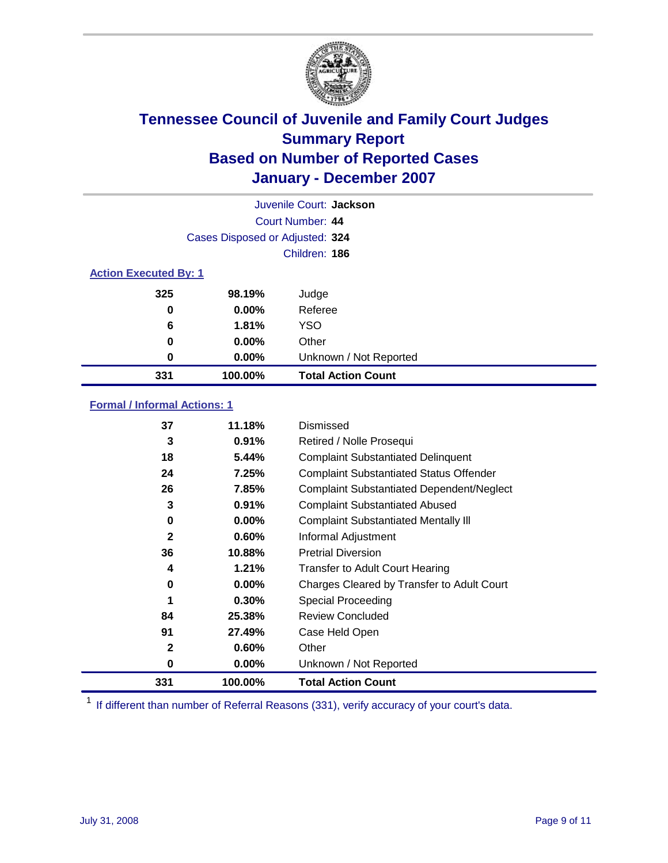

|                              |                                 | Juvenile Court: Jackson   |
|------------------------------|---------------------------------|---------------------------|
|                              |                                 | Court Number: 44          |
|                              | Cases Disposed or Adjusted: 324 |                           |
|                              |                                 | Children: 186             |
| <b>Action Executed By: 1</b> |                                 |                           |
| 325                          | 98.19%                          | Judge                     |
| 0                            | $0.00\%$                        | Referee                   |
| 6                            | 1.81%                           | <b>YSO</b>                |
| 0                            | 0.00%                           | Other                     |
| 0                            | $0.00\%$                        | Unknown / Not Reported    |
| 331                          | 100.00%                         | <b>Total Action Count</b> |

### **Formal / Informal Actions: 1**

| 37           | 11.18%   | Dismissed                                        |
|--------------|----------|--------------------------------------------------|
| 3            | 0.91%    | Retired / Nolle Prosequi                         |
| 18           | 5.44%    | <b>Complaint Substantiated Delinquent</b>        |
| 24           | 7.25%    | <b>Complaint Substantiated Status Offender</b>   |
| 26           | 7.85%    | <b>Complaint Substantiated Dependent/Neglect</b> |
| 3            | 0.91%    | <b>Complaint Substantiated Abused</b>            |
| 0            | $0.00\%$ | <b>Complaint Substantiated Mentally III</b>      |
| $\mathbf{2}$ | $0.60\%$ | Informal Adjustment                              |
| 36           | 10.88%   | <b>Pretrial Diversion</b>                        |
| 4            | 1.21%    | <b>Transfer to Adult Court Hearing</b>           |
| 0            | $0.00\%$ | Charges Cleared by Transfer to Adult Court       |
| 1            | 0.30%    | Special Proceeding                               |
| 84           | 25.38%   | <b>Review Concluded</b>                          |
| 91           | 27.49%   | Case Held Open                                   |
| $\mathbf{2}$ | $0.60\%$ | Other                                            |
| 0            | $0.00\%$ | Unknown / Not Reported                           |
| 331          | 100.00%  | <b>Total Action Count</b>                        |

<sup>1</sup> If different than number of Referral Reasons (331), verify accuracy of your court's data.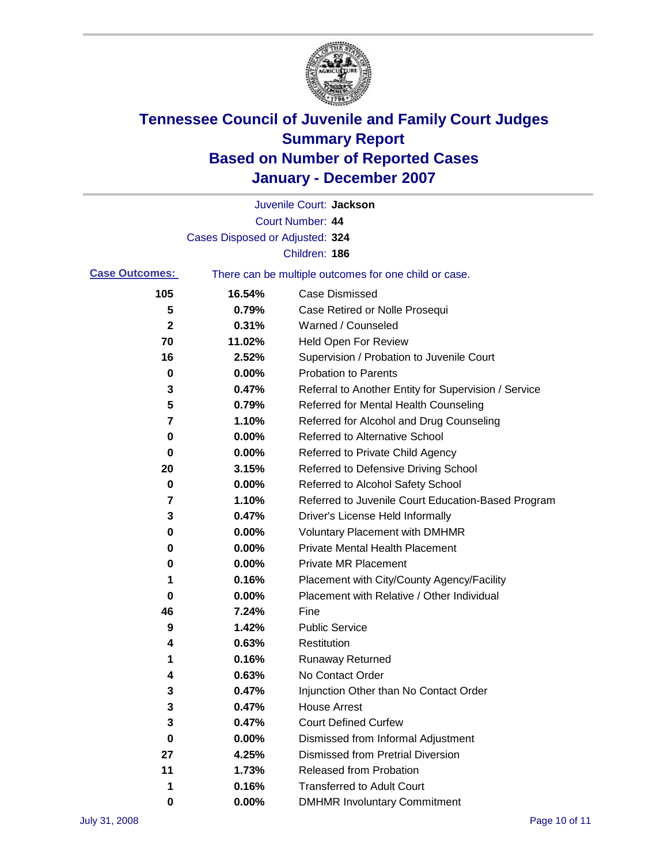

|                       |                                 | Juvenile Court: Jackson                               |
|-----------------------|---------------------------------|-------------------------------------------------------|
|                       |                                 | Court Number: 44                                      |
|                       | Cases Disposed or Adjusted: 324 |                                                       |
|                       |                                 | Children: 186                                         |
| <b>Case Outcomes:</b> |                                 | There can be multiple outcomes for one child or case. |
| 105                   | 16.54%                          | <b>Case Dismissed</b>                                 |
| 5                     | 0.79%                           | Case Retired or Nolle Prosequi                        |
| 2                     | 0.31%                           | Warned / Counseled                                    |
| 70                    | 11.02%                          | <b>Held Open For Review</b>                           |
| 16                    | 2.52%                           | Supervision / Probation to Juvenile Court             |
| 0                     | 0.00%                           | <b>Probation to Parents</b>                           |
| 3                     | 0.47%                           | Referral to Another Entity for Supervision / Service  |
| 5                     | 0.79%                           | Referred for Mental Health Counseling                 |
| 7                     | 1.10%                           | Referred for Alcohol and Drug Counseling              |
| 0                     | 0.00%                           | Referred to Alternative School                        |
| 0                     | 0.00%                           | Referred to Private Child Agency                      |
| 20                    | 3.15%                           | Referred to Defensive Driving School                  |
| 0                     | 0.00%                           | Referred to Alcohol Safety School                     |
| 7                     | 1.10%                           | Referred to Juvenile Court Education-Based Program    |
| 3                     | 0.47%                           | Driver's License Held Informally                      |
| 0                     | 0.00%                           | <b>Voluntary Placement with DMHMR</b>                 |
| 0                     | 0.00%                           | <b>Private Mental Health Placement</b>                |
| 0                     | 0.00%                           | <b>Private MR Placement</b>                           |
| 1                     | 0.16%                           | Placement with City/County Agency/Facility            |
| 0                     | 0.00%                           | Placement with Relative / Other Individual            |
| 46                    | 7.24%                           | Fine                                                  |
| 9                     | 1.42%                           | <b>Public Service</b>                                 |
| 4                     | 0.63%                           | Restitution                                           |
| 1                     | 0.16%                           | <b>Runaway Returned</b>                               |
| 4                     | 0.63%                           | No Contact Order                                      |
| 3                     | 0.47%                           | Injunction Other than No Contact Order                |
| 3                     | 0.47%                           | <b>House Arrest</b>                                   |
| 3                     | 0.47%                           | <b>Court Defined Curfew</b>                           |
| 0                     | $0.00\%$                        | Dismissed from Informal Adjustment                    |
| 27                    | 4.25%                           | <b>Dismissed from Pretrial Diversion</b>              |
| 11                    | 1.73%                           | <b>Released from Probation</b>                        |
| 1                     | 0.16%                           | <b>Transferred to Adult Court</b>                     |
| 0                     | 0.00%                           | <b>DMHMR Involuntary Commitment</b>                   |